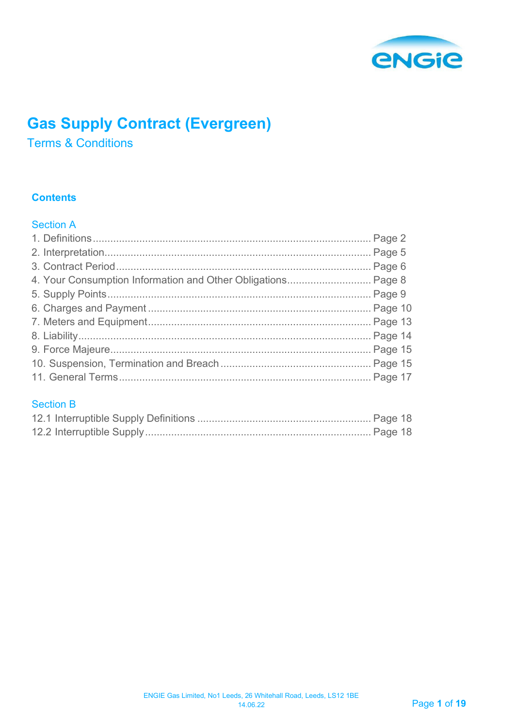

# **Gas Supply Contract (Evergreen)**

Terms & Conditions

## **Contents**

## Section A

## Section B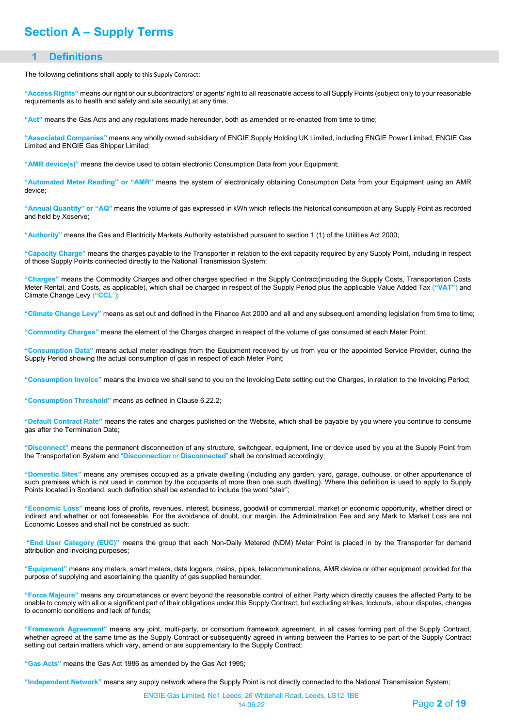## **Section A – Supply Terms**

#### **1 Definitions**

<span id="page-1-0"></span>The following definitions shall apply to this Supply Contract:

**"Access Rights"** means our right or our subcontractors' or agents' right to all reasonable access to all Supply Points (subject only to your reasonable requirements as to health and safety and site security) at any time;

**"Act"** means the Gas Acts and any regulations made hereunder, both as amended or re-enacted from time to time;

**"Associated Companies"** means any wholly owned subsidiary of ENGIE Supply Holding UK Limited, including ENGIE Power Limited, ENGIE Gas Limited and ENGIE Gas Shipper Limited;

**"AMR device(s)"** means the device used to obtain electronic Consumption Data from your Equipment;

**"Automated Meter Reading" or "AMR"** means the system of electronically obtaining Consumption Data from your Equipment using an AMR device;

**"Annual Quantity" or "AQ"** means the volume of gas expressed in kWh which reflects the historical consumption at any Supply Point as recorded and held by Xoserve;

**"Authority"** means the Gas and Electricity Markets Authority established pursuant to section 1 (1) of the Utilities Act 2000;

**"Capacity Charge"** means the charges payable to the Transporter in relation to the exit capacity required by any Supply Point, including in respect of those Supply Points connected directly to the National Transmission System;

**"Charges"** means the Commodity Charges and other charges specified in the Supply Contract(including the Supply Costs, Transportation Costs Meter Rental, and Costs, as applicable), which shall be charged in respect of the Supply Period plus the applicable Value Added Tax (**"VAT"**) and Climate Change Levy (**"CCL**");

**"Climate Change Levy"** means as set out and defined in the Finance Act 2000 and all and any subsequent amending legislation from time to time;

**"Commodity Charges"** means the element of the Charges charged in respect of the volume of gas consumed at each Meter Point;

**"Consumption Data"** means actual meter readings from the Equipment received by us from you or the appointed Service Provider, during the Supply Period showing the actual consumption of gas in respect of each Meter Point;

**"Consumption Invoice"** means the invoice we shall send to you on the Invoicing Date setting out the Charges, in relation to the Invoicing Period;

**"Consumption Threshold"** means as defined in Clause 6.22.2;

**"Default Contract Rate"** means the rates and charges published o[n the W](http://the/)ebsite, which shall be payable by you where you continue to consume gas after the Termination Date;

**"Disconnect"** means the permanent disconnection of any structure, switchgear, equipment, line or device used by you at the Supply Point from the Transportation System and "**Disconnection** or **Disconnected**" shall be construed accordingly;

**"Domestic Sites"** means any premises occupied as a private dwelling (including any garden, yard, garage, outhouse, or other appurtenance of such premises which is not used in common by the occupants of more than one such dwelling). Where this definition is used to apply to Supply Points located in Scotland, such definition shall be extended to include the word "stair";

**"Economic Loss"** means loss of profits, revenues, interest, business, goodwill or commercial, market or economic opportunity, whether direct or indirect and whether or not foreseeable. For the avoidance of doubt, our margin, the Administration Fee and any Mark to Market Loss are not Economic Losses and shall not be construed as such;

**"End User Category (EUC)"** means the group that each Non-Daily Metered (NDM) Meter Point is placed in by the Transporter for demand attribution and invoicing purposes;

**"Equipment"** means any meters, smart meters, data loggers, mains, pipes, telecommunications, AMR device or other equipment provided for the purpose of supplying and ascertaining the quantity of gas supplied hereunder;

**"Force Majeure"** means any circumstances or event beyond the reasonable control of either Party which directly causes the affected Party to be unable to comply with all or a significant part of their obligations under this Supply Contract, but excluding strikes, lockouts, labour disputes, changes to economic conditions and lack of funds;

**"Framework Agreement"** means any joint, multi-party, or consortium framework agreement, in all cases forming part of the Supply Contract, whether agreed at the same time as the Supply Contract or subsequently agreed in writing between the Parties to be part of the Supply Contract setting out certain matters which vary, amend or are supplementary to the Supply Contract;

**"Gas Acts"** means the Gas Act 1986 as amended by the Gas Act 1995;

**"Independent Network"** means any supply network where the Supply Point is not directly connected to the National Transmission System;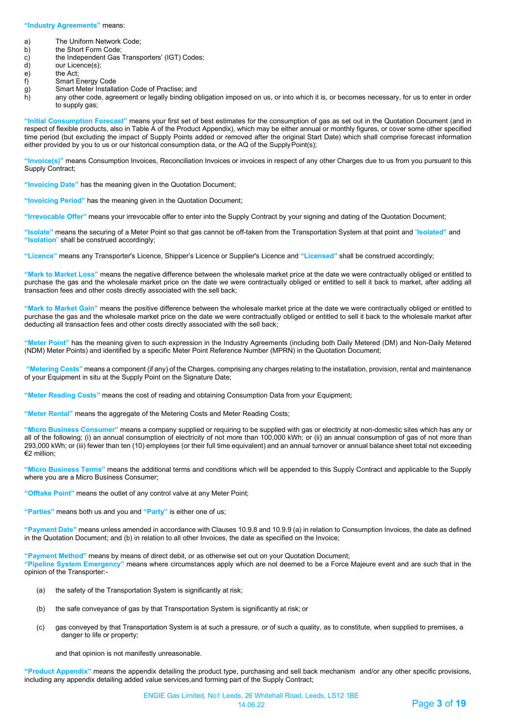#### **"Industry Agreements"** means:

- a) The Uniform Network Code;<br>b) the Short Form Code;
- 
- b) the Short Form Code;<br>c) the Independent Gas c) the Independent Gas Transporters' (IGT) Codes;<br>d) our Licence(s);
- d) our Licence(s);<br>e) the Act;
- e) the Act;<br>f) Smart E
- 
- f) Smart Energy Code<br>g) Smart Meter Installa<br>h) any other code, agre Smart Meter Installation Code of Practise; and
- any other code, agreement or legally binding obligation imposed on us, or into which it is, or becomes necessary, for us to enter in order to supply gas;

**"Initial Consumption Forecast"** means your first set of best estimates for the consumption of gas as set out in the Quotation Document (and in respect of flexible products, also in Table A of the Product Appendix), which may be either annual or monthly figures, or cover some other specified time period (but excluding the impact of Supply Points added or removed after the original Start Date) which shall comprise forecast information either provided by you to us or our historical consumption data, or the AQ of the SupplyPoint(s);

**"Invoice(s)"** means Consumption Invoices, Reconciliation Invoices or invoices in respect of any other Charges due to us from you pursuant to this Supply Contract;

**"Invoicing Date"** has the meaning given in the Quotation Document;

**"Invoicing Period"** has the meaning given in the Quotation Document;

**"Irrevocable Offer"** means your irrevocable offer to enter into the Supply Contract by your signing and dating of the Quotation Document;

**"Isolate"** means the securing of a Meter Point so that gas cannot be off-taken from the Transportation System at that point and "**Isolated"** and **"Isolation**" shall be construed accordingly;

**"Licence"** means any Transporter's Licence, Shipper's Licence or Supplier's Licence and **"Licensed"** shall be construed accordingly;

**"Mark to Market Loss"** means the negative difference between the wholesale market price at the date we were contractually obliged or entitled to purchase the gas and the wholesale market price on the date we were contractually obliged or entitled to sell it back to market, after adding all transaction fees and other costs directly associated with the sell back;

**"Mark to Market Gain"** means the positive difference between the wholesale market price at the date we were contractually obliged or entitled to purchase the gas and the wholesale market price on the date we were contractually obliged or entitled to sell it back to the wholesale market after deducting all transaction fees and other costs directly associated with the sell back;

**"Meter Point"** has the meaning given to such expression in the Industry Agreements (including both Daily Metered (DM) and Non-Daily Metered (NDM) Meter Points) and identified by a specific Meter Point Reference Number (MPRN) in the Quotation Document;

**"Metering Costs"** means a component (if any) of the Charges, comprising any charges relating to the installation, provision, rental and maintenance of your Equipment in situ at the Supply Point on the Signature Date;

**"Meter Reading Costs"** means the cost of reading and obtaining Consumption Data from your Equipment;

**"Meter Rental"** means the aggregate of the Metering Costs and Meter Reading Costs;

**"Micro Business Consumer"** means a company supplied or requiring to be supplied with gas or electricity at non-domestic sites which has any or all of the following; (i) an annual consumption of electricity of not more than 100,000 kWh; or (ii) an annual consumption of gas of not more than 293,000 kWh; or (iii) fewer than ten (10) employees (or their full time equivalent) and an annual turnover or annual balance sheet total not exceeding €2 million;

**"Micro Business Terms"** means the additional terms and conditions which will be appended to this Supply Contract and applicable to the Supply where you are a Micro Business Consumer;

**"Offtake Point"** means the outlet of any control valve at any Meter Point;

**"Parties"** means both us and you and **"Party"** is either one of us;

**"Payment Date"** means unless amended in accordance with Clauses 10.9.8 and 10.9.9 (a) in relation to Consumption Invoices, the date as defined in the Quotation Document; and (b) in relation to all other Invoices, the date as specified on the Invoice;

**"Payment Method"** means by means of direct debit, or as otherwise set out on your Quotation Document;

**"Pipeline System Emergency"** means where circumstances apply which are not deemed to be a Force Majeure event and are such that in the opinion of the Transporter:-

- (a) the safety of the Transportation System is significantly at risk;
- (b) the safe conveyance of gas by that Transportation System is significantly at risk; or
- (c) gas conveyed by that Transportation System is at such a pressure, or of such a quality, as to constitute, when supplied to premises, a danger to life or property;

and that opinion is not manifestly unreasonable.

**"Product Appendix"** means the appendix detailing the product type, purchasing and sell back mechanism and/or any other specific provisions, including any appendix detailing added value services,and forming part of the Supply Contract;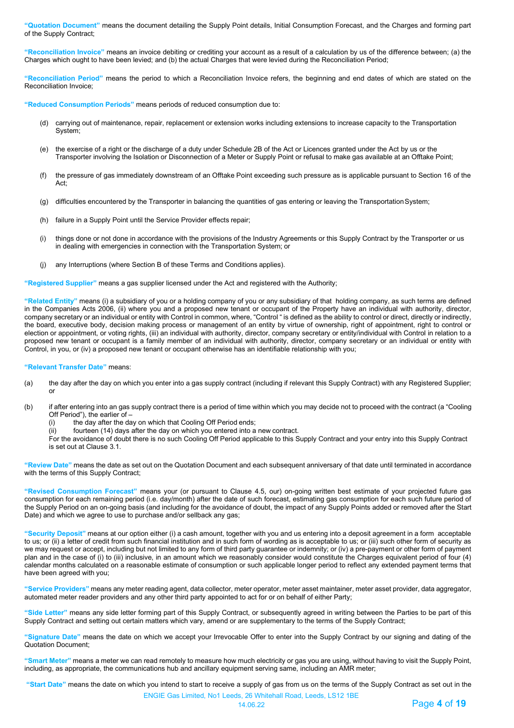**"Quotation Document"** means the document detailing the Supply Point details, Initial Consumption Forecast, and the Charges and forming part of the Supply Contract;

**"Reconciliation Invoice"** means an invoice debiting or crediting your account as a result of a calculation by us of the difference between; (a) the Charges which ought to have been levied; and (b) the actual Charges that were levied during the Reconciliation Period;

**"Reconciliation Period"** means the period to which a Reconciliation Invoice refers, the beginning and end dates of which are stated on the Reconciliation Invoice;

**"Reduced Consumption Periods"** means periods of reduced consumption due to:

- (d) carrying out of maintenance, repair, replacement or extension works including extensions to increase capacity to the Transportation System;
- (e) the exercise of a right or the discharge of a duty under Schedule 2B of the Act or Licences granted under the Act by us or the Transporter involving the Isolation or Disconnection of a Meter or Supply Point or refusal to make gas available at an Offtake Point;
- (f) the pressure of gas immediately downstream of an Offtake Point exceeding such pressure as is applicable pursuant to Section 16 of the Act;
- (g) difficulties encountered by the Transporter in balancing the quantities of gas entering or leaving the TransportationSystem;
- (h) failure in a Supply Point until the Service Provider effects repair;
- (i) things done or not done in accordance with the provisions of the Industry Agreements or this Supply Contract by the Transporter or us in dealing with emergencies in connection with the Transportation System; or
- (j) any Interruptions (where Section B of these Terms and Conditions applies).

**"Registered Supplier"** means a gas supplier licensed under the Act and registered with the Authority;

**"Related Entity"** means (i) a subsidiary of you or a holding company of you or any subsidiary of that holding company, as such terms are defined in the Companies Acts 2006, (ii) where you and a proposed new tenant or occupant of the Property have an individual with authority, director, company secretary or an individual or entity with Control in common, where, "Control " is defined as the ability to control or direct, directly or indirectly, the board, executive body, decision making process or management of an entity by virtue of ownership, right of appointment, right to control or election or appointment, or voting rights, (iii) an individual with authority, director, company secretary or entity/individual with Control in relation to a proposed new tenant or occupant is a family member of an individual with authority, director, company secretary or an individual or entity with Control, in you, or (iv) a proposed new tenant or occupant otherwise has an identifiable relationship with you;

**"Relevant Transfer Date"** means:

- (a) the day after the day on which you enter into a gas supply contract (including if relevant this Supply Contract) with any Registered Supplier; or
- (b) if after entering into an gas supply contract there is a period of time within which you may decide not to proceed with the contract (a "Cooling Off Period"), the earlier of –<br>(i) the day after the day
	- the day after the day on which that Cooling Off Period ends;
	- (ii) fourteen (14) days after the day on which you entered into a new contract.

For the avoidance of doubt there is no such Cooling Off Period applicable to this Supply Contract and your entry into this Supply Contract is set out at Clause 3.1.

**"Review Date"** means the date as set out on the Quotation Document and each subsequent anniversary of that date until terminated in accordance with the terms of this Supply Contract;

**"Revised Consumption Forecast"** means your (or pursuant to Clause 4.5, our) on-going written best estimate of your projected future gas consumption for each remaining period (i.e. day/month) after the date of such forecast, estimating gas consumption for each such future period of the Supply Period on an on-going basis (and including for the avoidance of doubt, the impact of any Supply Points added or removed after the Start Date) and which we agree to use to purchase and/or sellback any gas;

**"Security Deposit"** means at our option either (i) a cash amount, together with you and us entering into a deposit agreement in a form acceptable to us; or (ii) a letter of credit from such financial institution and in such form of wording as is acceptable to us; or (iii) such other form of security as we may request or accept, including but not limited to any form of third party guarantee or indemnity; or (iv) a pre-payment or other form of payment plan and in the case of (i) to (iii) inclusive, in an amount which we reasonably consider would constitute the Charges equivalent period of four (4) calendar months calculated on a reasonable estimate of consumption or such applicable longer period to reflect any extended payment terms that have been agreed with you;

**"Service Providers"** means any meter reading agent, data collector, meter operator, meter asset maintainer, meter asset provider, data aggregator, automated meter reader providers and any other third party appointed to act for or on behalf of either Party;

**"Side Letter"** means any side letter forming part of this Supply Contract, or subsequently agreed in writing between the Parties to be part of this Supply Contract and setting out certain matters which vary, amend or are supplementary to the terms of the Supply Contract;

**"Signature Date"** means the date on which we accept your Irrevocable Offer to enter into the Supply Contract by our signing and dating of the Quotation Document;

**"Smart Meter"** means a meter we can read remotely to measure how much electricity or gas you are using, without having to visit the Supply Point, including, as appropriate, the communications hub and ancillary equipment serving same, including an AMR meter;

**"Start Date"** means the date on which you intend to start to receive a supply of gas from us on the terms of the Supply Contract as set out in the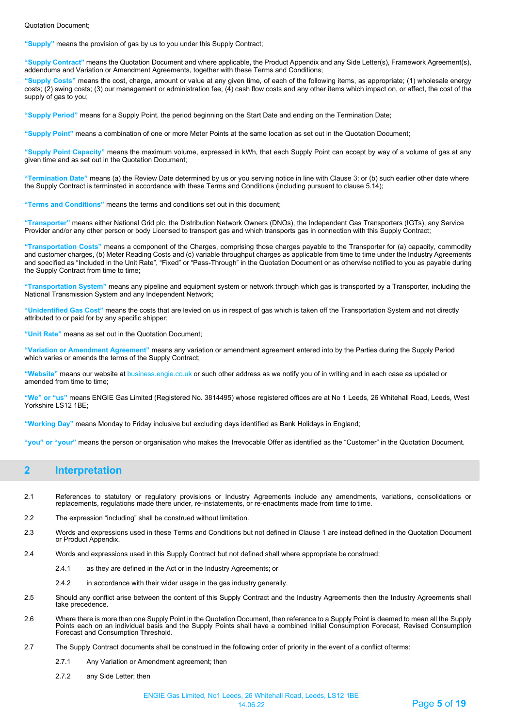Quotation Document;

**"Supply"** means the provision of gas by us to you under this Supply Contract;

**"Supply Contract"** means the Quotation Document and where applicable, the Product Appendix and any Side Letter(s), Framework Agreement(s), addendums and Variation or Amendment Agreements, together with these Terms and Conditions;

**"Supply Costs"** means the cost, charge, amount or value at any given time, of each of the following items, as appropriate; (1) wholesale energy costs; (2) swing costs; (3) our management or administration fee; (4) cash flow costs and any other items which impact on, or affect, the cost of the supply of gas to you;

**"Supply Period"** means for a Supply Point, the period beginning on the Start Date and ending on the Termination Date;

**"Supply Point"** means a combination of one or more Meter Points at the same location as set out in the Quotation Document;

**"Supply Point Capacity"** means the maximum volume, expressed in kWh, that each Supply Point can accept by way of a volume of gas at any given time and as set out in the Quotation Document;

**"Termination Date"** means (a) the Review Date determined by us or you serving notice in line with Clause 3; or (b) such earlier other date where the Supply Contract is terminated in accordance with these Terms and Conditions (including pursuant to clause 5.14);

**"Terms and Conditions"** means the terms and conditions set out in this document;

**"Transporter"** means either National Grid plc, the Distribution Network Owners (DNOs), the Independent Gas Transporters (IGTs), any Service Provider and/or any other person or body Licensed to transport gas and which transports gas in connection with this Supply Contract;

**"Transportation Costs"** means a component of the Charges, comprising those charges payable to the Transporter for (a) capacity, commodity and customer charges, (b) Meter Reading Costs and (c) variable throughput charges as applicable from time to time under the Industry Agreements and specified as "Included in the Unit Rate", "Fixed" or "Pass-Through" in the Quotation Document or as otherwise notified to you as payable during the Supply Contract from time to time;

**"Transportation System"** means any pipeline and equipment system or network through which gas is transported by a Transporter, including the National Transmission System and any Independent Network;

**"Unidentified Gas Cost"** means the costs that are levied on us in respect of gas which is taken off the Transportation System and not directly attributed to or paid for by any specific shipper;

**"Unit Rate"** means as set out in the Quotation Document;

**"Variation or Amendment Agreement"** means any variation or amendment agreement entered into by the Parties during the Supply Period which varies or amends the terms of the Supply Contract;

**"Website"** means our website at business.engie.co.uk or such other address as we notify you of in writing and in each case as updated or amended from time to time:

**"We" or "us"** means ENGIE Gas Limited (Registered No. 3814495) whose registered offices are at No 1 Leeds, 26 Whitehall Road, Leeds, West Yorkshire LS12 1BE;

**"Working Day"** means Monday to Friday inclusive but excluding days identified as Bank Holidays in England;

**"you" or "your"** means the person or organisation who makes the Irrevocable Offer as identified as the "Customer" in the Quotation Document.

### <span id="page-4-0"></span>**2 Interpretation**

- 2.1 References to statutory or regulatory provisions or Industry Agreements include any amendments, variations, consolidations or<br>replacements, regulations made there under, re-instatements, or re-enactments made from ti
- 2.2 The expression "including" shall be construed without limitation.
- 2.3 Words and expressions used in these Terms and Conditions but not defined in Clause 1 are instead defined in the Quotation Document or Product Appendix.
- 2.4 Words and expressions used in this Supply Contract but not defined shall where appropriate be construed:
	- 2.4.1 as they are defined in the Act or in the Industry Agreements; or
	- 2.4.2 in accordance with their wider usage in the gas industry generally.
- 2.5 Should any conflict arise between the content of this Supply Contract and the Industry Agreements then the Industry Agreements shall take precedence.
- 2.6 Where there is more than one Supply Point in the Quotation Document, then reference to a Supply Point is deemed to mean all the Supply Points each on an individual basis and the Supply Points shall have a combined Initial Consumption Forecast, Revised Consumption Forecast and Consumption Threshold.
- 2.7 The Supply Contract documents shall be construed in the following order of priority in the event of a conflict ofterms:
	- 2.7.1 Any Variation or Amendment agreement; then
	- 2.7.2 any Side Letter; then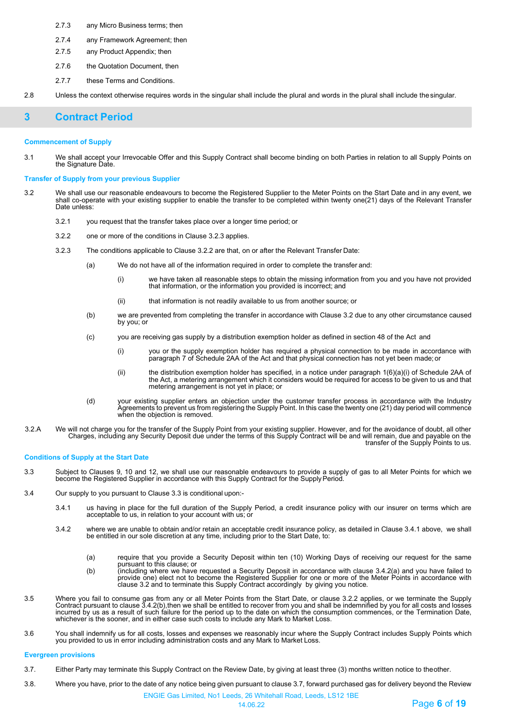- 2.7.3 any Micro Business terms; then
- 2.7.4 any Framework Agreement; then
- 2.7.5 any Product Appendix; then
- 2.7.6 the Quotation Document, then
- 2.7.7 these Terms and Conditions.
- 2.8 Unless the context otherwise requires words in the singular shall include the plural and words in the plural shall include thesingular.

### <span id="page-5-0"></span>**3 Contract Period**

#### **Commencement of Supply**

3.1 We shall accept your Irrevocable Offer and this Supply Contract shall become binding on both Parties in relation to all Supply Points on the Signature Date.

**Transfer of Supply from your previous Supplier**

- 3.2 We shall use our reasonable endeavours to become the Registered Supplier to the Meter Points on the Start Date and in any event, we shall co-operate with your existing supplier to enable the transfer to be completed within twenty one(21) days of the Relevant Transfer Date unless:
	- 3.2.1 you request that the transfer takes place over a longer time period; or
	- 3.2.2 one or more of the conditions in Clause 3.2.3 applies.
	- 3.2.3 The conditions applicable to Clause 3.2.2 are that, on or after the Relevant Transfer Date:
		- (a) We do not have all of the information required in order to complete the transfer and:
			- (i) we have taken all reasonable steps to obtain the missing information from you and you have not provided that information, or the information you provided is incorrect; and
			- (ii) that information is not readily available to us from another source; or
		- (b) we are prevented from completing the transfer in accordance with Clause 3.2 due to any other circumstance caused by you; or
		- (c) you are receiving gas supply by a distribution exemption holder as defined in section 48 of the Act and
			- (i) you or the supply exemption holder has required a physical connection to be made in accordance with paragraph 7 of Schedule 2AA of the Act and that physical connection has not yet been made; or
			- (ii) the distribution exemption holder has specified, in a notice under paragraph 1(6)(a)(i) of Schedule 2AA of the Act, a metering arrangement which it considers would be required for access to be given to us and that metering arrangement is not yet in place; or
		- (d) your existing supplier enters an objection under the customer transfer process in accordance with the Industry<br>Agreements to prevent us from registering the Supply Point. In this case the twenty one (21) day period wil when the objection is removed.
- 3.2.A We will not charge you for the transfer of the Supply Point from your existing supplier. However, and for the avoidance of doubt, all other Charges, including any Security Deposit due under the terms of this Supply Contract will be and will remain, due and payable on the transfer of the Supply Points to us.

#### **Conditions of Supply at the Start Date**

- 3.3 Subject to Clauses 9, 10 and 12, we shall use our reasonable endeavours to provide a supply of gas to all Meter Points for which we become the Registered Supplier in accordance with this Supply Contract for the Supply Period.
- 3.4 Our supply to you pursuant to Clause 3.3 is conditional upon:-
	- 3.4.1 us having in place for the full duration of the Supply Period, a credit insurance policy with our insurer on terms which are acceptable to us, in relation to your account with us; or
	- 3.4.2 where we are unable to obtain and/or retain an acceptable credit insurance policy, as detailed in Clause 3.4.1 above, we shall be entitled in our sole discretion at any time, including prior to the Start Date, to:
		- (a) require that you provide a Security Deposit within ten (10) Working Days of receiving our request for the same
		- pursuant to this clause; or (b) (including where we have requested a Security Deposit in accordance with clause 3.4.2(a) and you have failed to provide one) elect not to become the Registered Supplier for one or more of the Meter Points in accordance with clause 3.2 and to terminate this Supply Contract accordingly by giving you notice.
- 3.5 Where you fail to consume gas from any or all Meter Points from the Start Date, or clause 3.2.2 applies, or we terminate the Supply Contract pursuant to clause 3.4.2(b),then we shall be entitled to recover from you and shall be indemnified by you for all costs and losses<br>incurred by us as a result of such failure for the period up to the date on which whichever is the sooner, and in either case such costs to include any Mark to Market Loss.
- 3.6 You shall indemnify us for all costs, losses and expenses we reasonably incur where the Supply Contract includes Supply Points which you provided to us in error including administration costs and any Mark to Market Loss.

#### **Evergreen provisions**

- 3.7. Either Party may terminate this Supply Contract on the Review Date, by giving at least three (3) months written notice to theother.
- 3.8. Where you have, prior to the date of any notice being given pursuant to clause 3.7, forward purchased gas for delivery beyond the Review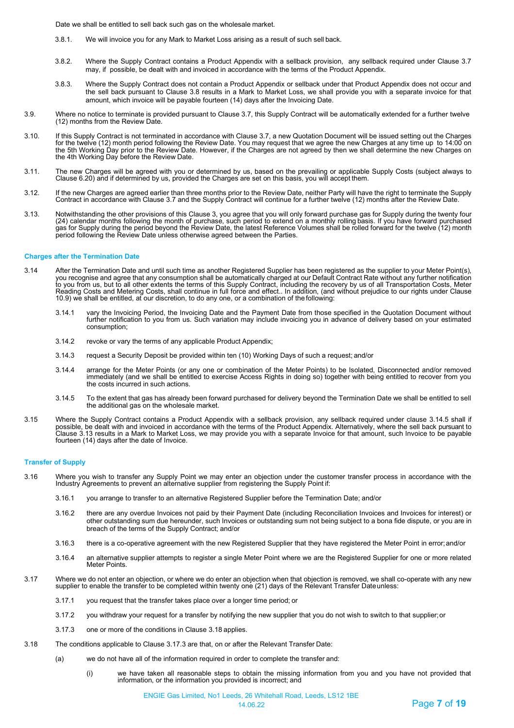Date we shall be entitled to sell back such gas on the wholesale market.

- 3.8.1. We will invoice you for any Mark to Market Loss arising as a result of such sell back.
- 3.8.2. Where the Supply Contract contains a Product Appendix with a sellback provision, any sellback required under Clause 3.7 may, if possible, be dealt with and invoiced in accordance with the terms of the Product Appendix.
- 3.8.3. Where the Supply Contract does not contain a Product Appendix or sellback under that Product Appendix does not occur and the sell back pursuant to Clause 3.8 results in a Mark to Market Loss, we shall provide you with a separate invoice for that amount, which invoice will be payable fourteen (14) days after the Invoicing Date.
- 3.9. Where no notice to terminate is provided pursuant to Clause 3.7, this Supply Contract will be automatically extended for a further twelve (12) months from the Review Date.
- 3.10. If this Supply Contract is not terminated in accordance with Clause 3.7, a new Quotation Document will be issued setting out the Charges for the twelve (12) month period following the Review Date. You may request that we agree the new Charges at any time up to 14:00 on<br>the 5th Working Day prior to the Review Date. However, if the Charges are not agreed by the 4th Working Day before the Review Date.
- 3.11. The new Charges will be agreed with you or determined by us, based on the prevailing or applicable Supply Costs (subject always to Clause 6.20) and if determined by us, provided the Charges are set on this basis, you will accept them.
- 3.12. If the new Charges are agreed earlier than three months prior to the Review Date, neither Party will have the right to terminate the Supply Contract in accordance with Clause 3.7 and the Supply Contract will continue for a further twelve (12) months after the Review Date.
- 3.13. Notwithstanding the other provisions of this Clause 3, you agree that you will only forward purchase gas for Supply during the twenty four (24) calendar months following the month of purchase, such period to extend on a monthly rolling basis. If you have forward purchased<br>gas for Supply during the period beyond the Review Date, the latest Reference Volumes sh period following the Review Date unless otherwise agreed between the Parties.

#### **Charges after the Termination Date**

- ,(3.14 After the Termination Date and until such time as another Registered Supplier has been registered as the supplier to your Meter Point(s),<br>you recognise and agree that any consumption shall be automatically charged a to you from us, but to all other extents the terms of this Supply Contract, including the recovery by us of all Transportation Costs, Meter<br>Reading Costs and Metering Costs, shall continue in full force and effect.. In add
	- vary the Invoicing Period, the Invoicing Date and the Payment Date from those specified in the Quotation Document without 3.14.1<br>further notification to you from us. Such variation may include invoicing you in advance of d consumption;
	- 3.14.2 revoke or vary the terms of any applicable Product Appendix;
	- 3.14.3 request a Security Deposit be provided within ten (10) Working Days of such a request; and/or
	- 3.14.4 arrange for the Meter Points (or any one or combination of the Meter Points) to be Isolated, Disconnected and/or removed immediately (and we shall be entitled to exercise Access Rights in doing so) together with being entitled to recover from you the costs incurred in such actions.
	- 3.14.5 To the extent that gas has already been forward purchased for delivery beyond the Termination Date we shall be entitled to sell the additional gas on the wholesale market.
- 3.15 Where the Supply Contract contains a Product Appendix with a sellback provision, any sellback required under clause 3.14.5 shall if possible, be dealt with and invoiced in accordance with the terms of the Product Appendix. Alternatively, where the sell back pursuant to<br>Clause 3.13 results in a Mark to Market Loss, we may provide you with a separate Inv fourteen (14) days after the date of Invoice.

#### **Transfer of Supply**

- 3.16 Where you wish to transfer any Supply Point we may enter an objection under the customer transfer process in accordance with the Industry Agreements to prevent an alternative supplier from registering the Supply Point if:
	- 3.16.1 you arrange to transfer to an alternative Registered Supplier before the Termination Date; and/or
	- 3.16.2 there are any overdue Invoices not paid by their Payment Date (including Reconciliation Invoices and Invoices for interest) or other outstanding sum due hereunder, such Invoices or outstanding sum not being subject to a bona fide dispute, or you are in breach of the terms of the Supply Contract; and/or
	- 3.16.3 there is a co-operative agreement with the new Registered Supplier that they have registered the Meter Point in error;and/or
	- 3.16.4 an alternative supplier attempts to register a single Meter Point where we are the Registered Supplier for one or more related Meter Points.
- 3.17 Where we do not enter an objection, or where we do enter an objection when that objection is removed, we shall co-operate with any new supplier to enable the transfer to be completed within twenty one (21) days of the Relevant Transfer Dateunless:
	- 3.17.1 you request that the transfer takes place over a longer time period; or
	- 3.17.2 you withdraw your request for a transfer by notifying the new supplier that you do not wish to switch to that supplier;or
	- 3.17.3 one or more of the conditions in Clause 3.18 applies.
- 3.18 The conditions applicable to Clause 3.17.3 are that, on or after the Relevant Transfer Date:
	- (a) we do not have all of the information required in order to complete the transfer and:
		- (i) we have taken all reasonable steps to obtain the missing information from you and you have not provided that information, or the information you provided is incorrect; and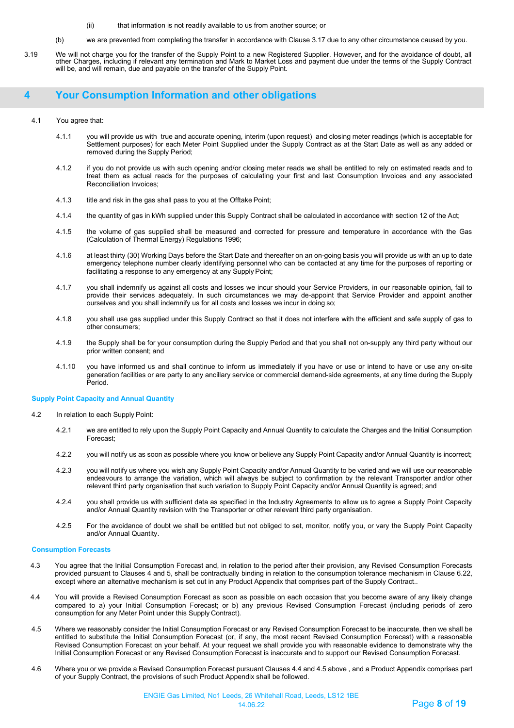- (ii) that information is not readily available to us from another source; or
- (b) we are prevented from completing the transfer in accordance with Clause 3.17 due to any other circumstance caused by you.
- 3.19 We will not charge you for the transfer of the Supply Point to a new Registered Supplier. However, and for the avoidance of doubt, all other Charges, including if relevant any termination and Mark to Market Loss and payment due under the terms of the Supply Contract will be, and will remain, due and payable on the transfer of the Supply Point.

### <span id="page-7-0"></span>**4 Your Consumption Information and other obligations**

#### 4.1 You agree that:

- 4.1.1 you will provide us with true and accurate opening, interim (upon request) and closing meter readings (which is acceptable for Settlement purposes) for each Meter Point Supplied under the Supply Contract as at the Start Date as well as any added or removed during the Supply Period;
- 4.1.2 if you do not provide us with such opening and/or closing meter reads we shall be entitled to rely on estimated reads and to treat them as actual reads for the purposes of calculating your first and last Consumption Invoices and any associated Reconciliation Invoices;
- 4.1.3 title and risk in the gas shall pass to you at the Offtake Point;
- 4.1.4 the quantity of gas in kWh supplied under this Supply Contract shall be calculated in accordance with section 12 of the Act;
- 4.1.5 the volume of gas supplied shall be measured and corrected for pressure and temperature in accordance with the Gas (Calculation of Thermal Energy) Regulations 1996;
- 4.1.6 at least thirty (30) Working Days before the Start Date and thereafter on an on-going basis you will provide us with an up to date emergency telephone number clearly identifying personnel who can be contacted at any time for the purposes of reporting or facilitating a response to any emergency at any Supply Point;
- 4.1.7 you shall indemnify us against all costs and losses we incur should your Service Providers, in our reasonable opinion, fail to provide their services adequately. In such circumstances we may de-appoint that Service Provider and appoint another ourselves and you shall indemnify us for all costs and losses we incur in doing so;
- 4.1.8 you shall use gas supplied under this Supply Contract so that it does not interfere with the efficient and safe supply of gas to other consumers;
- 4.1.9 the Supply shall be for your consumption during the Supply Period and that you shall not on-supply any third party without our prior written consent; and
- 4.1.10 you have informed us and shall continue to inform us immediately if you have or use or intend to have or use any on-site generation facilities or are party to any ancillary service or commercial demand-side agreements, at any time during the Supply Period.

#### **Supply Point Capacity and Annual Quantity**

- 4.2 In relation to each Supply Point:
	- 4.2.1 we are entitled to rely upon the Supply Point Capacity and Annual Quantity to calculate the Charges and the Initial Consumption Forecast;
	- 4.2.2 you will notify us as soon as possible where you know or believe any Supply Point Capacity and/or Annual Quantity is incorrect;
	- 4.2.3 you will notify us where you wish any Supply Point Capacity and/or Annual Quantity to be varied and we will use our reasonable endeavours to arrange the variation, which will always be subject to confirmation by the relevant Transporter and/or other relevant third party organisation that such variation to Supply Point Capacity and/or Annual Quantity is agreed; and
	- 4.2.4 you shall provide us with sufficient data as specified in the Industry Agreements to allow us to agree a Supply Point Capacity and/or Annual Quantity revision with the Transporter or other relevant third party organisation.
	- 4.2.5 For the avoidance of doubt we shall be entitled but not obliged to set, monitor, notify you, or vary the Supply Point Capacity and/or Annual Quantity.

#### **Consumption Forecasts**

- 4.3 You agree that the Initial Consumption Forecast and, in relation to the period after their provision, any Revised Consumption Forecasts provided pursuant to Clauses 4 and 5, shall be contractually binding in relation to the consumption tolerance mechanism in Clause 6.22, except where an alternative mechanism is set out in any Product Appendix that comprises part of the Supply Contract..
- 4.4 You will provide a Revised Consumption Forecast as soon as possible on each occasion that you become aware of any likely change compared to a) your Initial Consumption Forecast; or b) any previous Revised Consumption Forecast (including periods of zero consumption for any Meter Point under this Supply Contract).
- 4.5 Where we reasonably consider the Initial Consumption Forecast or any Revised Consumption Forecast to be inaccurate, then we shall be entitled to substitute the Initial Consumption Forecast (or, if any, the most recent Revised Consumption Forecast) with a reasonable Revised Consumption Forecast on your behalf. At your request we shall provide you with reasonable evidence to demonstrate why the Initial Consumption Forecast or any Revised Consumption Forecast is inaccurate and to support our Revised Consumption Forecast.
- 4.6 Where you or we provide a Revised Consumption Forecast pursuant Clauses 4.4 and 4.5 above , and a Product Appendix comprises part of your Supply Contract, the provisions of such Product Appendix shall be followed.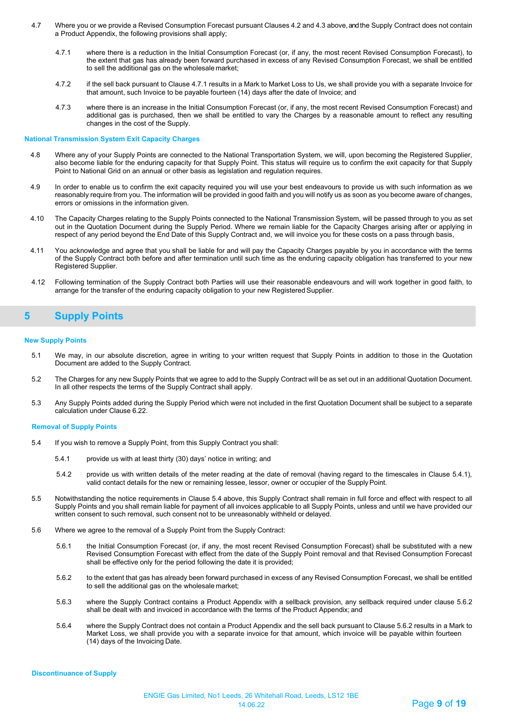- 4.7 Where you or we provide a Revised Consumption Forecast pursuant Clauses 4.2 and 4.3 above, and the Supply Contract does not contain a Product Appendix, the following provisions shall apply;
	- 4.7.1 where there is a reduction in the Initial Consumption Forecast (or, if any, the most recent Revised Consumption Forecast), to the extent that gas has already been forward purchased in excess of any Revised Consumption Forecast, we shall be entitled to sell the additional gas on the wholesale market;
	- 4.7.2 if the sell back pursuant to Clause 4.7.1 results in a Mark to Market Loss to Us, we shall provide you with a separate Invoice for that amount, such Invoice to be payable fourteen (14) days after the date of Invoice; and
	- 4.7.3 where there is an increase in the Initial Consumption Forecast (or, if any, the most recent Revised Consumption Forecast) and additional gas is purchased, then we shall be entitled to vary the Charges by a reasonable amount to reflect any resulting changes in the cost of the Supply.

#### **National Transmission System Exit Capacity Charges**

- 4.8 Where any of your Supply Points are connected to the National Transportation System, we will, upon becoming the Registered Supplier, also become liable for the enduring capacity for that Supply Point. This status will require us to confirm the exit capacity for that Supply Point to National Grid on an annual or other basis as legislation and regulation requires.
- 4.9 In order to enable us to confirm the exit capacity required you will use your best endeavours to provide us with such information as we reasonably require from you. The information will be provided in good faith and you will notify us as soon as you become aware of changes, errors or omissions in the information given.
- 4.10 The Capacity Charges relating to the Supply Points connected to the National Transmission System, will be passed through to you as set out in the Quotation Document during the Supply Period. Where we remain liable for the Capacity Charges arising after or applying in respect of any period beyond the End Date of this Supply Contract and, we will invoice you for these costs on a pass through basis,
- 4.11 You acknowledge and agree that you shall be liable for and will pay the Capacity Charges payable by you in accordance with the terms of the Supply Contract both before and after termination until such time as the enduring capacity obligation has transferred to your new Registered Supplier.
- 4.12 Following termination of the Supply Contract both Parties will use their reasonable endeavours and will work together in good faith, to arrange for the transfer of the enduring capacity obligation to your new Registered Supplier.

## <span id="page-8-0"></span>**5 Supply Points**

#### **New Supply Points**

- 5.1 We may, in our absolute discretion, agree in writing to your written request that Supply Points in addition to those in the Quotation Document are added to the Supply Contract.
- 5.2 The Charges for any new Supply Points that we agree to add to the Supply Contract will be as set out in an additional Quotation Document. In all other respects the terms of the Supply Contract shall apply.
- 5.3 Any Supply Points added during the Supply Period which were not included in the first Quotation Document shall be subject to a separate calculation under Clause 6.22.

#### **Removal of Supply Points**

- 5.4 If you wish to remove a Supply Point, from this Supply Contract you shall:
	- 5.4.1 provide us with at least thirty (30) days' notice in writing; and
	- 5.4.2 provide us with written details of the meter reading at the date of removal (having regard to the timescales in Clause 5.4.1), valid contact details for the new or remaining lessee, lessor, owner or occupier of the SupplyPoint.
- 5.5 Notwithstanding the notice requirements in Clause 5.4 above, this Supply Contract shall remain in full force and effect with respect to all Supply Points and you shall remain liable for payment of all invoices applicable to all Supply Points, unless and until we have provided our written consent to such removal, such consent not to be unreasonably withheld or delayed.
- 5.6 Where we agree to the removal of a Supply Point from the Supply Contract:
	- 5.6.1 the Initial Consumption Forecast (or, if any, the most recent Revised Consumption Forecast) shall be substituted with a new Revised Consumption Forecast with effect from the date of the Supply Point removal and that Revised Consumption Forecast shall be effective only for the period following the date it is provided;
	- 5.6.2 to the extent that gas has already been forward purchased in excess of any Revised Consumption Forecast, we shall be entitled to sell the additional gas on the wholesale market;
	- 5.6.3 where the Supply Contract contains a Product Appendix with a sellback provision, any sellback required under clause 5.6.2 shall be dealt with and invoiced in accordance with the terms of the Product Appendix; and
	- 5.6.4 where the Supply Contract does not contain a Product Appendix and the sell back pursuant to Clause 5.6.2 results in a Mark to Market Loss, we shall provide you with a separate invoice for that amount, which invoice will be payable within fourteen (14) days of the Invoicing Date.

**Discontinuance of Supply**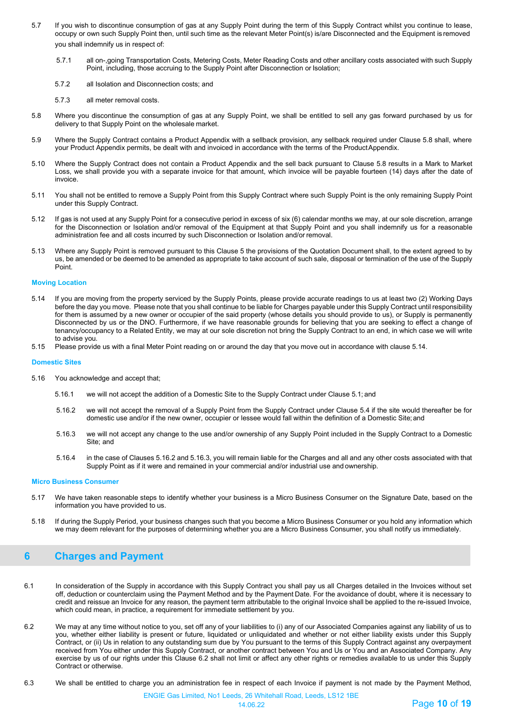- 5.7 If you wish to discontinue consumption of gas at any Supply Point during the term of this Supply Contract whilst you continue to lease, occupy or own such Supply Point then, until such time as the relevant Meter Point(s) is/are Disconnected and the Equipment is removed you shall indemnify us in respect of:
	- 5.7.1 all on-,going Transportation Costs, Metering Costs, Meter Reading Costs and other ancillary costs associated with such Supply Point, including, those accruing to the Supply Point after Disconnection or Isolation;
	- 5.7.2 all Isolation and Disconnection costs; and
	- 5.7.3 all meter removal costs.
- 5.8 Where you discontinue the consumption of gas at any Supply Point, we shall be entitled to sell any gas forward purchased by us for delivery to that Supply Point on the wholesale market.
- 5.9 Where the Supply Contract contains a Product Appendix with a sellback provision, any sellback required under Clause 5.8 shall, where your Product Appendix permits, be dealt with and invoiced in accordance with the terms of the ProductAppendix.
- 5.10 Where the Supply Contract does not contain a Product Appendix and the sell back pursuant to Clause 5.8 results in a Mark to Market Loss, we shall provide you with a separate invoice for that amount, which invoice will be payable fourteen (14) days after the date of invoice.
- 5.11 You shall not be entitled to remove a Supply Point from this Supply Contract where such Supply Point is the only remaining Supply Point under this Supply Contract.
- 5.12 If gas is not used at any Supply Point for a consecutive period in excess of six (6) calendar months we may, at our sole discretion, arrange for the Disconnection or Isolation and/or removal of the Equipment at that Supply Point and you shall indemnify us for a reasonable administration fee and all costs incurred by such Disconnection or Isolation and/or removal.
- 5.13 Where any Supply Point is removed pursuant to this Clause 5 the provisions of the Quotation Document shall, to the extent agreed to by us, be amended or be deemed to be amended as appropriate to take account of such sale, disposal or termination of the use of the Supply Point.

#### **Moving Location**

- 5.14 If you are moving from the property serviced by the Supply Points, please provide accurate readings to us at least two (2) Working Days before the day you move. Please note that you shall continue to be liable for Charges payable under this Supply Contract until responsibility for them is assumed by a new owner or occupier of the said property (whose details you should provide to us), or Supply is permanently Disconnected by us or the DNO. Furthermore, if we have reasonable grounds for believing that you are seeking to effect a change of tenancy/occupancy to a Related Entity, we may at our sole discretion not bring the Supply Contract to an end, in which case we will write to advise you.
- 5.15 Please provide us with a final Meter Point reading on or around the day that you move out in accordance with clause 5.14.

#### **Domestic Sites**

- 5.16 You acknowledge and accept that;
	- 5.16.1 we will not accept the addition of a Domestic Site to the Supply Contract under Clause 5.1; and
	- 5.16.2 we will not accept the removal of a Supply Point from the Supply Contract under Clause 5.4 if the site would thereafter be for domestic use and/or if the new owner, occupier or lessee would fall within the definition of a Domestic Site;and
	- 5.16.3 we will not accept any change to the use and/or ownership of any Supply Point included in the Supply Contract to a Domestic Site; and
	- 5.16.4 in the case of Clauses 5.16.2 and 5.16.3, you will remain liable for the Charges and all and any other costs associated with that Supply Point as if it were and remained in your commercial and/or industrial use and ownership.

#### **Micro Business Consumer**

- 5.17 We have taken reasonable steps to identify whether your business is a Micro Business Consumer on the Signature Date, based on the information you have provided to us.
- 5.18 If during the Supply Period, your business changes such that you become a Micro Business Consumer or you hold any information which we may deem relevant for the purposes of determining whether you are a Micro Business Consumer, you shall notify us immediately.

## <span id="page-9-0"></span>**6 Charges and Payment**

- 6.1 In consideration of the Supply in accordance with this Supply Contract you shall pay us all Charges detailed in the Invoices without set off, deduction or counterclaim using the Payment Method and by the Payment Date. For the avoidance of doubt, where it is necessary to credit and reissue an Invoice for any reason, the payment term attributable to the original Invoice shall be applied to the re-issued Invoice, which could mean, in practice, a requirement for immediate settlement by you.
- 6.2 We may at any time without notice to you, set off any of your liabilities to (i) any of our Associated Companies against any liability of us to you, whether either liability is present or future, liquidated or unliquidated and whether or not either liability exists under this Supply Contract, or (ii) Us in relation to any outstanding sum due by You pursuant to the terms of this Supply Contract against any overpayment received from You either under this Supply Contract, or another contract between You and Us or You and an Associated Company. Any exercise by us of our rights under this Clause 6.2 shall not limit or affect any other rights or remedies available to us under this Supply Contract or otherwise.
- 6.3 We shall be entitled to charge you an administration fee in respect of each Invoice if payment is not made by the Payment Method,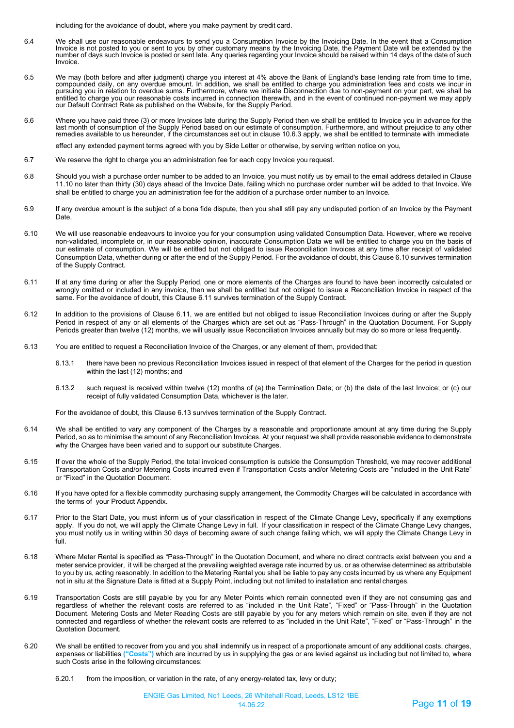including for the avoidance of doubt, where you make payment by credit card.

- 6.4 We shall use our reasonable endeavours to send you a Consumption Invoice by the Invoicing Date. In the event that a Consumption<br>Invoice is not posted to you or sent to you by other customary means by the Invoicing Date number of days such Invoice is posted or sent late. Any queries regarding your Invoice should be raised within 14 days of the date of such Invoice.
- 6.5 We may (both before and after judgment) charge you interest at 4% above the Bank of England's base lending rate from time to time, compounded daily, on any overdue amount. In addition, we shall be entitled to charge you administration fees and costs we incur in pursuing you in relation to overdue sums. Furthermore, where we initiate Disconnection due to non-payment on your part, we shall be entitled to charge you our reasonable costs incurred in connection therewith, and in the event of continued non-payment we may apply<br>our Default Contract Rate as published on the Website, for the Supply Period.
- 6.6 Where you have paid three (3) or more Invoices late during the Supply Period then we shall be entitled to Invoice you in advance for the<br>Iast month of consumption of the Supply Period based on our estimate of remedies available to us hereunder, if the circumstances set out in clause 10.6.3 apply, we shall be entitled to terminate with immediate

effect any extended payment terms agreed with you by Side Letter or otherwise, by serving written notice on you,

- 6.7 We reserve the right to charge you an administration fee for each copy Invoice you request.
- 6.8 Should you wish a purchase order number to be added to an Invoice, you must notify us by email to the email address detailed in Clause 11.10 no later than thirty (30) days ahead of the Invoice Date, failing which no purchase order number will be added to that Invoice. We shall be entitled to charge you an administration fee for the addition of a purchase order number to an Invoice.
- 6.9 If any overdue amount is the subject of a bona fide dispute, then you shall still pay any undisputed portion of an Invoice by the Payment Date.
- 6.10 We will use reasonable endeavours to invoice you for your consumption using validated Consumption Data. However, where we receive non-validated, incomplete or, in our reasonable opinion, inaccurate Consumption Data we will be entitled to charge you on the basis of our estimate of consumption. We will be entitled but not obliged to issue Reconciliation Invoices at any time after receipt of validated Consumption Data, whether during or after the end of the Supply Period. For the avoidance of doubt, this Clause 6.10 survives termination of the Supply Contract.
- 6.11 If at any time during or after the Supply Period, one or more elements of the Charges are found to have been incorrectly calculated or wrongly omitted or included in any invoice, then we shall be entitled but not obliged to issue a Reconciliation Invoice in respect of the same. For the avoidance of doubt, this Clause 6.11 survives termination of the Supply Contract.
- 6.12 In addition to the provisions of Clause 6.11, we are entitled but not obliged to issue Reconciliation Invoices during or after the Supply Period in respect of any or all elements of the Charges which are set out as "Pass-Through" in the Quotation Document. For Supply Periods greater than twelve (12) months, we will usually issue Reconciliation Invoices annually but may do so more or less frequently.
- 6.13 You are entitled to request a Reconciliation Invoice of the Charges, or any element of them, provided that:
	- 6.13.1 there have been no previous Reconciliation Invoices issued in respect of that element of the Charges for the period in question within the last (12) months; and
	- 6.13.2 such request is received within twelve (12) months of (a) the Termination Date; or (b) the date of the last Invoice; or (c) our receipt of fully validated Consumption Data, whichever is the later.

For the avoidance of doubt, this Clause 6.13 survives termination of the Supply Contract.

- 6.14 We shall be entitled to vary any component of the Charges by a reasonable and proportionate amount at any time during the Supply Period, so as to minimise the amount of any Reconciliation Invoices. At your request we shall provide reasonable evidence to demonstrate why the Charges have been varied and to support our substitute Charges.
- 6.15 If over the whole of the Supply Period, the total invoiced consumption is outside the Consumption Threshold, we may recover additional Transportation Costs and/or Metering Costs incurred even if Transportation Costs and/or Metering Costs are "included in the Unit Rate" or "Fixed" in the Quotation Document.
- 6.16 If you have opted for a flexible commodity purchasing supply arrangement, the Commodity Charges will be calculated in accordance with the terms of your Product Appendix.
- 6.17 Prior to the Start Date, you must inform us of your classification in respect of the Climate Change Levy, specifically if any exemptions apply. If you do not, we will apply the Climate Change Levy in full. If your classification in respect of the Climate Change Levy changes, you must notify us in writing within 30 days of becoming aware of such change failing which, we will apply the Climate Change Levy in full.
- 6.18 Where Meter Rental is specified as "Pass-Through" in the Quotation Document, and where no direct contracts exist between you and a meter service provider, it will be charged at the prevailing weighted average rate incurred by us, or as otherwise determined as attributable to you by us, acting reasonably. In addition to the Metering Rental you shall be liable to pay any costs incurred by us where any Equipment not in situ at the Signature Date is fitted at a Supply Point, including but not limited to installation and rental charges.
- 6.19 Transportation Costs are still payable by you for any Meter Points which remain connected even if they are not consuming gas and regardless of whether the relevant costs are referred to as "included in the Unit Rate", "Fixed" or "Pass-Through" in the Quotation Document. Metering Costs and Meter Reading Costs are still payable by you for any meters which remain on site, even if they are not connected and regardless of whether the relevant costs are referred to as "included in the Unit Rate", "Fixed" or "Pass-Through" in the Quotation Document.
- 6.20 We shall be entitled to recover from you and you shall indemnify us in respect of a proportionate amount of any additional costs, charges, expenses or liabilities **("Costs")** which are incurred by us in supplying the gas or are levied against us including but not limited to, where such Costs arise in the following circumstances:
	- 6.20.1 from the imposition, or variation in the rate, of any energy-related tax, levy or duty;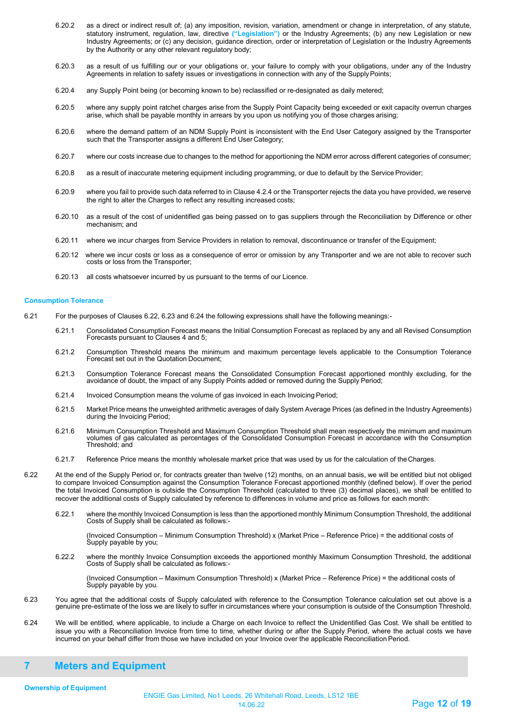- 6.20.2 as a direct or indirect result of; (a) any imposition, revision, variation, amendment or change in interpretation, of any statute, statutory instrument, regulation, law, directive **("Legislation")** or the Industry Agreements; (b) any new Legislation or new Industry Agreements; or (c) any decision, guidance direction, order or interpretation of Legislation or the Industry Agreements by the Authority or any other relevant regulatory body;
- 6.20.3 as a result of us fulfilling our or your obligations or, your failure to comply with your obligations, under any of the Industry Agreements in relation to safety issues or investigations in connection with any of the SupplyPoints;
- 6.20.4 any Supply Point being (or becoming known to be) reclassified or re-designated as daily metered;
- 6.20.5 where any supply point ratchet charges arise from the Supply Point Capacity being exceeded or exit capacity overrun charges arise, which shall be payable monthly in arrears by you upon us notifying you of those charges arising;
- 6.20.6 where the demand pattern of an NDM Supply Point is inconsistent with the End User Category assigned by the Transporter such that the Transporter assigns a different End User Category:
- 6.20.7 where our costs increase due to changes to the method for apportioning the NDM error across different categories of consumer;
- 6.20.8 as a result of inaccurate metering equipment including programming, or due to default by the ServiceProvider;
- 6.20.9 where you fail to provide such data referred to in Clause 4.2.4 or the Transporter rejects the data you have provided, we reserve the right to alter the Charges to reflect any resulting increased costs;
- 6.20.10 as a result of the cost of unidentified gas being passed on to gas suppliers through the Reconciliation by Difference or other mechanism; and
- 6.20.11 where we incur charges from Service Providers in relation to removal, discontinuance or transfer of the Equipment;
- 6.20.12 where we incur costs or loss as a consequence of error or omission by any Transporter and we are not able to recover such costs or loss from the Transporter;
- 6.20.13 all costs whatsoever incurred by us pursuant to the terms of our Licence.

#### **Consumption Tolerance**

- 6.21 For the purposes of Clauses 6.22, 6.23 and 6.24 the following expressions shall have the following meanings:-
	- 6.21.1 Consolidated Consumption Forecast means the Initial Consumption Forecast as replaced by any and all Revised Consumption Forecasts pursuant to Clauses 4 and 5;
	- 6.21.2 Consumption Threshold means the minimum and maximum percentage levels applicable to the Consumption Tolerance Forecast set out in the Quotation Document;
	- 6.21.3 Consumption Tolerance Forecast means the Consolidated Consumption Forecast apportioned monthly excluding, for the avoidance of doubt, the impact of any Supply Points added or removed during the Supply Period;
	- 6.21.4 Invoiced Consumption means the volume of gas invoiced in each Invoicing Period;
	- 6.21.5 Market Price means the unweighted arithmetic averages of daily System Average Prices (as defined in the Industry Agreements) during the Invoicing Period;
	- 6.21.6 Minimum Consumption Threshold and Maximum Consumption Threshold shall mean respectively the minimum and maximum volumes of gas calculated as percentages of the Consolidated Consumption Forecast in accordance with the Consumption Threshold; and
	- 6.21.7 Reference Price means the monthly wholesale market price that was used by us for the calculation of theCharges.
- 6.22 At the end of the Supply Period or, for contracts greater than twelve (12) months, on an annual basis, we will be entitled biut not obliged to compare Invoiced Consumption against the Consumption Tolerance Forecast apportioned monthly (defined below). If over the period the total Invoiced Consumption is outside the Consumption Threshold (calculated to three (3) decimal places), we shall be entitled to recover the additional costs of Supply calculated by reference to differences in volume and price as follows for each month:
	- 6.22.1 where the monthly Invoiced Consumption is less than the apportioned monthly Minimum Consumption Threshold, the additional Costs of Supply shall be calculated as follows:-

(Invoiced Consumption – Minimum Consumption Threshold) x (Market Price – Reference Price) = the additional costs of Supply payable by you;

6.22.2 where the monthly Invoice Consumption exceeds the apportioned monthly Maximum Consumption Threshold, the additional Costs of Supply shall be calculated as follows:-

(Invoiced Consumption – Maximum Consumption Threshold) x (Market Price – Reference Price) = the additional costs of Supply payable by you.

- 6.23 You agree that the additional costs of Supply calculated with reference to the Consumption Tolerance calculation set out above is a<br>.genuine pre-estimate of the loss we are likely to suffer in circumstances where yo
- 6.24 We will be entitled, where applicable, to include a Charge on each Invoice to reflect the Unidentified Gas Cost. We shall be entitled to issue you with a Reconciliation Invoice from time to time, whether during or after the Supply Period, where the actual costs we have incurred on your behalf differ from those we have included on your Invoice over the applicable Reconciliation Period.

## <span id="page-11-0"></span>**7 Meters and Equipment**

**Ownership of Equipment**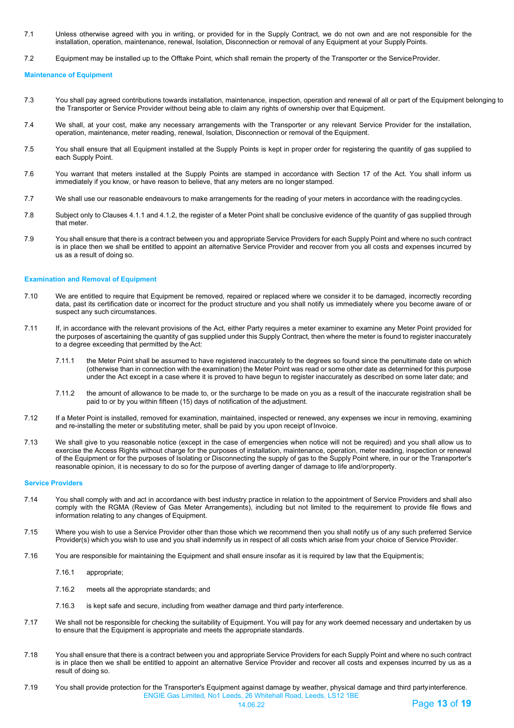- 7.1 Unless otherwise agreed with you in writing, or provided for in the Supply Contract, we do not own and are not responsible for the installation, operation, maintenance, renewal, Isolation, Disconnection or removal of any Equipment at your SupplyPoints.
- 7.2 Equipment may be installed up to the Offtake Point, which shall remain the property of the Transporter or the ServiceProvider.

**Maintenance of Equipment**

- 7.3 You shall pay agreed contributions towards installation, maintenance, inspection, operation and renewal of all or part of the Equipment belonging to the Transporter or Service Provider without being able to claim any rights of ownership over that Equipment.
- 7.4 We shall, at your cost, make any necessary arrangements with the Transporter or any relevant Service Provider for the installation, operation, maintenance, meter reading, renewal, Isolation, Disconnection or removal of the Equipment.
- 7.5 You shall ensure that all Equipment installed at the Supply Points is kept in proper order for registering the quantity of gas supplied to each Supply Point.
- 7.6 You warrant that meters installed at the Supply Points are stamped in accordance with Section 17 of the Act. You shall inform us immediately if you know, or have reason to believe, that any meters are no longer stamped.
- 7.7 We shall use our reasonable endeavours to make arrangements for the reading of your meters in accordance with the readingcycles.
- 7.8 Subject only to Clauses 4.1.1 and 4.1.2, the register of a Meter Point shall be conclusive evidence of the quantity of gas supplied through that meter.
- 7.9 You shall ensure that there is a contract between you and appropriate Service Providers for each Supply Point and where no such contract is in place then we shall be entitled to appoint an alternative Service Provider and recover from you all costs and expenses incurred by us as a result of doing so.

#### **Examination and Removal of Equipment**

- 7.10 We are entitled to require that Equipment be removed, repaired or replaced where we consider it to be damaged, incorrectly recording data, past its certification date or incorrect for the product structure and you shall notify us immediately where you become aware of or suspect any such circumstances.
- 7.11 If, in accordance with the relevant provisions of the Act, either Party requires a meter examiner to examine any Meter Point provided for the purposes of ascertaining the quantity of gas supplied under this Supply Contract, then where the meter is found to register inaccurately to a degree exceeding that permitted by the Act:
	- 7.11.1 the Meter Point shall be assumed to have registered inaccurately to the degrees so found since the penultimate date on which (otherwise than in connection with the examination) the Meter Point was read or some other date as determined for this purpose under the Act except in a case where it is proved to have begun to register inaccurately as described on some later date; and
	- 7.11.2 the amount of allowance to be made to, or the surcharge to be made on you as a result of the inaccurate registration shall be paid to or by you within fifteen (15) days of notification of the adjustment.
- 7.12 If a Meter Point is installed, removed for examination, maintained, inspected or renewed, any expenses we incur in removing, examining and re-installing the meter or substituting meter, shall be paid by you upon receipt of Invoice.
- 7.13 We shall give to you reasonable notice (except in the case of emergencies when notice will not be required) and you shall allow us to exercise the Access Rights without charge for the purposes of installation, maintenance, operation, meter reading, inspection or renewal of the Equipment or for the purposes of Isolating or Disconnecting the supply of gas to the Supply Point where, in our or the Transporter's reasonable opinion, it is necessary to do so for the purpose of averting danger of damage to life and/orproperty.

#### **Service Providers**

- 7.14 You shall comply with and act in accordance with best industry practice in relation to the appointment of Service Providers and shall also comply with the RGMA (Review of Gas Meter Arrangements), including but not limited to the requirement to provide file flows and information relating to any changes of Equipment.
- 7.15 Where you wish to use a Service Provider other than those which we recommend then you shall notify us of any such preferred Service Provider(s) which you wish to use and you shall indemnify us in respect of all costs which arise from your choice of Service Provider.
- 7.16 You are responsible for maintaining the Equipment and shall ensure insofar as it is required by law that the Equipmentis;
	- 7.16.1 appropriate;
	- 7.16.2 meets all the appropriate standards; and
	- 7.16.3 is kept safe and secure, including from weather damage and third party interference.
- 7.17 We shall not be responsible for checking the suitability of Equipment. You will pay for any work deemed necessary and undertaken by us to ensure that the Equipment is appropriate and meets the appropriate standards.
- 7.18 You shall ensure that there is a contract between you and appropriate Service Providers for each Supply Point and where no such contract is in place then we shall be entitled to appoint an alternative Service Provider and recover all costs and expenses incurred by us as a result of doing so.
- ENGIE Gas Limited, No1 Leeds, 26 Whitehall Road, Leeds, LS12 1BE 7.19 You shall provide protection for the Transporter's Equipment against damage by weather, physical damage and third partyinterference.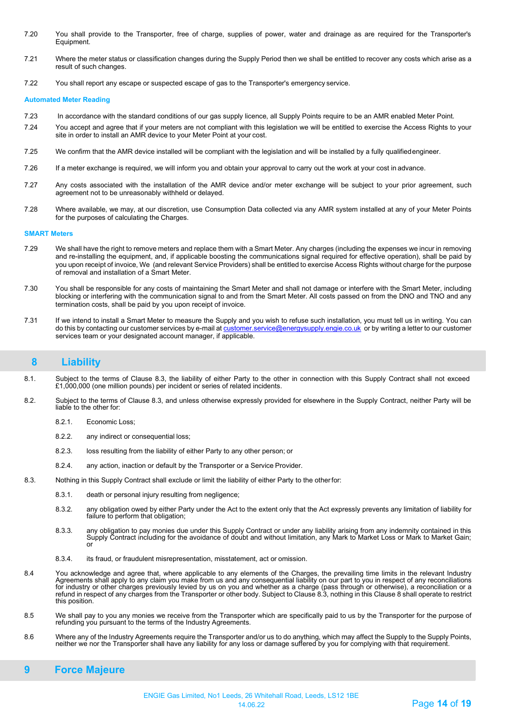- 7.20 You shall provide to the Transporter, free of charge, supplies of power, water and drainage as are required for the Transporter's Equipment.
- 7.21 Where the meter status or classification changes during the Supply Period then we shall be entitled to recover any costs which arise as a result of such changes.
- 7.22 You shall report any escape or suspected escape of gas to the Transporter's emergency service.

#### **Automated Meter Reading**

- 7.23 In accordance with the standard conditions of our gas supply licence, all Supply Points require to be an AMR enabled Meter Point.
- <span id="page-13-1"></span>7.24 You accept and agree that if your meters are not compliant with this legislation we will be entitled to exercise the Access Rights to your site in order to install an AMR device to your Meter Point at your cost.
- 7.25 We confirm that the AMR device installed will be compliant with the legislation and will be installed by a fully qualifiedengineer.
- 7.26 If a meter exchange is required, we will inform you and obtain your approval to carry out the work at your cost in advance.
- 7.27 Any costs associated with the installation of the AMR device and/or meter exchange will be subject to your prior agreement, such agreement not to be unreasonably withheld or delayed.
- 7.28 Where available, we may, at our discretion, use Consumption Data collected via any AMR system installed at any of your Meter Points for the purposes of calculating the Charges.

#### **SMART Meters**

- 7.29 We shall have the right to remove meters and replace them with a Smart Meter. Any charges (including the expenses we incur in removing and re-installing the equipment, and, if applicable boosting the communications signal required for effective operation), shall be paid by you upon receipt of invoice, We (and relevant Service Providers) shall be entitled to exercise Access Rights without charge for the purpose of removal and installation of a Smart Meter.
- 7.30 You shall be responsible for any costs of maintaining the Smart Meter and shall not damage or interfere with the Smart Meter, including blocking or interfering with the communication signal to and from the Smart Meter. All costs passed on from the DNO and TNO and any termination costs, shall be paid by you upon receipt of invoice.
- 7.31 If we intend to install a Smart Meter to measure the Supply and you wish to refuse such installation, you must tell us in writing. You can do this by contacting our customer services by e-mail a[t customer.service@energysupply.engie.co.uk](mailto:customer.service@energysupply.engie.co.uk) or by writing a letter to our customer services team or your designated account manager, if applicable.

### <span id="page-13-0"></span>**8 Liability**

- 8.1. Subject to the terms of Clause 8.3, the liability of either Party to the other in connection with this Supply Contract shall not exceed £1,000,000 (one million pounds) per incident or series of related incidents.
- 8.2. Subject to the terms of Clause 8.3, and unless otherwise expressly provided for elsewhere in the Supply Contract, neither Party will be liable to the other for:
	- 8.2.1. Economic Loss;
	- 8.2.2. any indirect or consequential loss;
	- 8.2.3. loss resulting from the liability of either Party to any other person; or
	- 8.2.4. any action, inaction or default by the Transporter or a Service Provider.
- 8.3. Nothing in this Supply Contract shall exclude or limit the liability of either Party to the otherfor:
	- 8.3.1. death or personal injury resulting from negligence;
	- 8.3.2. any obligation owed by either Party under the Act to the extent only that the Act expressly prevents any limitation of liability for failure to perform that obligation;
	- 8.3.3. any obligation to pay monies due under this Supply Contract or under any liability arising from any indemnity contained in this Supply Contract including for the avoidance of doubt and without limitation, any Mark to Market Loss or Mark to Market Gain; or
	- 8.3.4. its fraud, or fraudulent misrepresentation, misstatement, act or omission.
- 8.4 You acknowledge and agree that, where applicable to any elements of the Charges, the prevailing time limits in the relevant Industry<br>Agreements shall apply to any claim you make from us and any consequential liability refund in respect of any charges from the Transporter or other body. Subject to Clause 8.3, nothing in this Clause 8 shall operate to restrict this position.
- 8.5 We shall pay to you any monies we receive from the Transporter which are specifically paid to us by the Transporter for the purpose of refunding you pursuant to the terms of the Industry Agreements.
- 8.6 Where any of the Industry Agreements require the Transporter and/or us to do anything, which may affect the Supply to the Supply Points, neither we nor the Transporter shall have any liability for any loss or damage suffered by you for complying with that requirement.

### **9 Force Majeure**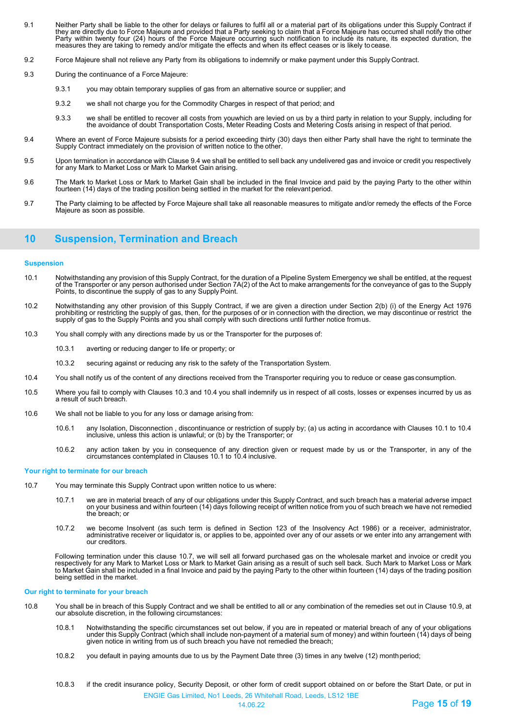- 9.1 Neither Party shall be liable to the other for delays or failures to fulfil all or a material part of its obligations under this Supply Contract if they are directly due to Force Majeure and provided that a Party seeking to claim that a Force Majeure has occurred shall notify the other Party within twenty four (24) hours of the Force Majeure occurring such notification to include its nature, its expected duration, the measures they are taking to remedy and/or mitigate the effects and when its effect ceases or is likely tocease.
- 9.2 Force Majeure shall not relieve any Party from its obligations to indemnify or make payment under this Supply Contract.
- 9.3 During the continuance of a Force Majeure:
	- 9.3.1 you may obtain temporary supplies of gas from an alternative source or supplier; and
	- 9.3.2 we shall not charge you for the Commodity Charges in respect of that period; and
	- 9.3.3 we shall be entitled to recover all costs from youwhich are levied on us by a third party in relation to your Supply, including for the avoidance of doubt Transportation Costs, Meter Reading Costs and Metering Costs arising in respect of that period.
- 9.4 Where an event of Force Majeure subsists for a period exceeding thirty (30) days then either Party shall have the right to terminate the Supply Contract immediately on the provision of written notice to the other.
- 9.5 Upon termination in accordance with Clause 9.4 we shall be entitled to sell back any undelivered gas and invoice or credit you respectively for any Mark to Market Loss or Mark to Market Gain arising.
- 9.6 The Mark to Market Loss or Mark to Market Gain shall be included in the final Invoice and paid by the paying Party to the other within fourteen (14) days of the trading position being settled in the market for the relevant period.
- 9.7 The Party claiming to be affected by Force Majeure shall take all reasonable measures to mitigate and/or remedy the effects of the Force Majeure as soon as possible.

## <span id="page-14-0"></span>**10 Suspension, Termination and Breach**

#### **Suspension**

- 10.1 Notwithstanding any provision of this Supply Contract, for the duration of a Pipeline System Emergency we shall be entitled, at the request<br>The Act to make dire Act to make arrangements for the Conveyance of the Actro Points, to discontinue the supply of gas to any Supply Point.
- 10.2 Notwithstanding any other provision of this Supply Contract, if we are given a direction under Section 2(b) (i) of the Energy Act 1976 prohibiting or restricting the supply of gas, then, for the purposes of or in connection with the direction, we may discontinue or restrict the supply of gas to the Supply Points and you shall comply with such directions until further notice fromus.
- 10.3 You shall comply with any directions made by us or the Transporter for the purposes of:
	- 10.3.1 averting or reducing danger to life or property; or
	- 10.3.2 securing against or reducing any risk to the safety of the Transportation System.
- 10.4 You shall notify us of the content of any directions received from the Transporter requiring you to reduce or cease gas consumption.
- 10.5 Where you fail to comply with Clauses 10.3 and 10.4 you shall indemnify us in respect of all costs, losses or expenses incurred by us as a result of such breach.
- 10.6 We shall not be liable to you for any loss or damage arising from:
	- 10.6.1 any Isolation, Disconnection , discontinuance or restriction of supply by; (a) us acting in accordance with Clauses 10.1 to 10.4 inclusive, unless this action is unlawful; or (b) by the Transporter; or
	- 10.6.2 any action taken by you in consequence of any direction given or request made by us or the Transporter, in any of the circumstances contemplated in Clauses 10.1 to 10.4 inclusive.

#### **Your right to terminate for our breach**

- 10.7 You may terminate this Supply Contract upon written notice to us where:
	- 10.7.1 we are in material breach of any of our obligations under this Supply Contract, and such breach has a material adverse impact on your business and within fourteen (14) days following receipt of written notice from you of such breach we have not remedied the breach; or
	- , 10.7.2 we become Insolvent (as such term is defined in Section 123 of the Insolvency Act 1986) or a receiver, administrator,<br>administrative receiver or liquidator is, or applies to be, appointed over any of our assets or

Following termination under this clause 10.7, we will sell all forward purchased gas on the wholesale market and invoice or credit you<br>respectively for any Mark to Market Loss or Mark to Market Gain arising as a result of to Market Gain shall be included in a final Invoice and paid by the paying Party to the other within fourteen (14) days of the trading position being settled in the market.

#### **Our right to terminate for your breach**

- 10.8 You shall be in breach of this Supply Contract and we shall be entitled to all or any combination of the remedies set out in Clause 10.9, at our absolute discretion, in the following circumstances:
	- 10.8.1 Notwithstanding the specific circumstances set out below, if you are in repeated or material breach of any of your obligations<br>under this Supply Contract (which shall include non-payment of a material sum of money) given notice in writing from us of such breach you have not remedied the breach;
	- 10.8.2 you default in paying amounts due to us by the Payment Date three (3) times in any twelve (12) monthperiod;
	- 10.8.3 if the credit insurance policy, Security Deposit, or other form of credit support obtained on or before the Start Date, or put in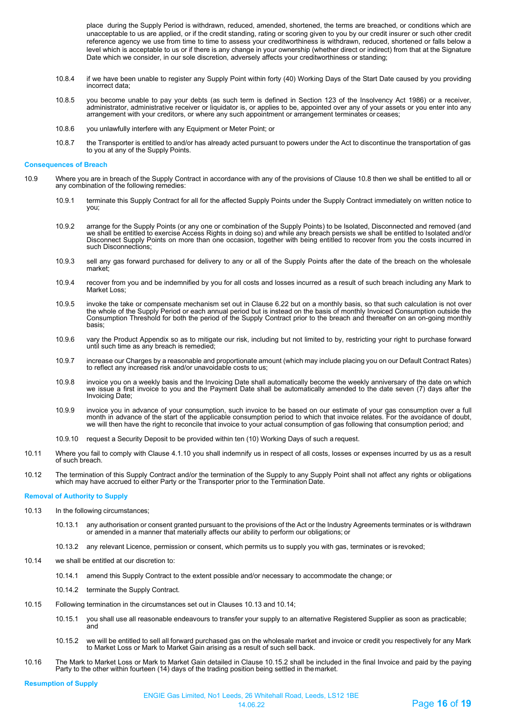place during the Supply Period is withdrawn, reduced, amended, shortened, the terms are breached, or conditions which are unacceptable to us are applied, or if the credit standing, rating or scoring given to you by our credit insurer or such other credit reference agency we use from time to time to assess your creditworthiness is withdrawn, reduced, shortened or falls below a level which is acceptable to us or if there is any change in your ownership (whether direct or indirect) from that at the Signature Date which we consider, in our sole discretion, adversely affects your creditworthiness or standing;

- 10.8.4 if we have been unable to register any Supply Point within forty (40) Working Days of the Start Date caused by you providing incorrect data;
- ,10.8.5 you become unable to pay your debts (as such term is defined in Section 123 of the Insolvency Act 1986) or a receiver,<br>administrator, administrative receiver or liquidator is, or applies to be, appointed over any o
- 10.8.6 you unlawfully interfere with any Equipment or Meter Point; or
- 10.8.7 the Transporter is entitled to and/or has already acted pursuant to powers under the Act to discontinue the transportation of gas to you at any of the Supply Points.

#### **Consequences of Breach**

- 10.9 Where you are in breach of the Supply Contract in accordance with any of the provisions of Clause 10.8 then we shall be entitled to all or any combination of the following remedies:
	- 10.9.1 terminate this Supply Contract for all for the affected Supply Points under the Supply Contract immediately on written notice to you;
	- 10.9.2 arrange for the Supply Points (or any one or combination of the Supply Points) to be Isolated, Disconnected and removed (and<br>we shall be entitled to exercise Access Rights in doing so) and while any breach persists Disconnect Supply Points on more than one occasion, together with being entitled to recover from you the costs incurred in such Disconnections;
	- 10.9.3 sell any gas forward purchased for delivery to any or all of the Supply Points after the date of the breach on the wholesale market;
	- 10.9.4 recover from you and be indemnified by you for all costs and losses incurred as a result of such breach including any Mark to Market Loss;
	- 10.9.5 invoke the take or compensate mechanism set out in Clause 6.22 but on a monthly basis, so that such calculation is not over<br>the whole of the Supply Period or each annual period but is instead on the basis of monthl Consumption Threshold for both the period of the Supply Contract prior to the breach and thereafter on an on-going monthly basis;
	- 10.9.6 vary the Product Appendix so as to mitigate our risk, including but not limited to by, restricting your right to purchase forward until such time as any breach is remedied;
	- 10.9.7 increase our Charges by a reasonable and proportionate amount (which may include placing you on our Default Contract Rates) to reflect any increased risk and/or unavoidable costs to us;
	- 10.9.8 invoice you on a weekly basis and the Invoicing Date shall automatically become the weekly anniversary of the date on which we issue a first invoice to you and the Payment Date shall be automatically amended to the date seven (7) days after the Invoicing Date;
	- 10.9.9 invoice you in advance of your consumption, such invoice to be based on our estimate of your gas consumption over a full month in advance of the start of the applicable consumption period to which that invoice relates. For the avoidance of doubt, we will then have the right to reconcile that invoice to your actual consumption of gas following that consumption period; and
	- 10.9.10 request a Security Deposit to be provided within ten (10) Working Days of such a request.
- 10.11 Where you fail to comply with Clause 4.1.10 you shall indemnify us in respect of all costs, losses or expenses incurred by us as a result of such breach.
- 10.12 The termination of this Supply Contract and/or the termination of the Supply to any Supply Point shall not affect any rights or obligations which may have accrued to either Party or the Transporter prior to the Termination Date.

#### **Removal of Authority to Supply**

- 10.13 In the following circumstances;
	- 10.13.1 any authorisation or consent granted pursuant to the provisions of the Act or the Industry Agreements terminates or is withdrawn or amended in a manner that materially affects our ability to perform our obligations; or
	- 10.13.2 any relevant Licence, permission or consent, which permits us to supply you with gas, terminates or is revoked;
- 10.14 we shall be entitled at our discretion to:
	- 10.14.1 amend this Supply Contract to the extent possible and/or necessary to accommodate the change; or
	- 10.14.2 terminate the Supply Contract.
- 10.15 Following termination in the circumstances set out in Clauses 10.13 and 10.14;
	- 10.15.1 you shall use all reasonable endeavours to transfer your supply to an alternative Registered Supplier as soon as practicable; and
	- 10.15.2 we will be entitled to sell all forward purchased gas on the wholesale market and invoice or credit you respectively for any Mark to Market Loss or Mark to Market Gain arising as a result of such sell back.
- 10.16 The Mark to Market Loss or Mark to Market Gain detailed in Clause 10.15.2 shall be included in the final Invoice and paid by the paying Party to the other within fourteen (14) days of the trading position being settled in themarket.

**Resumption of Supply**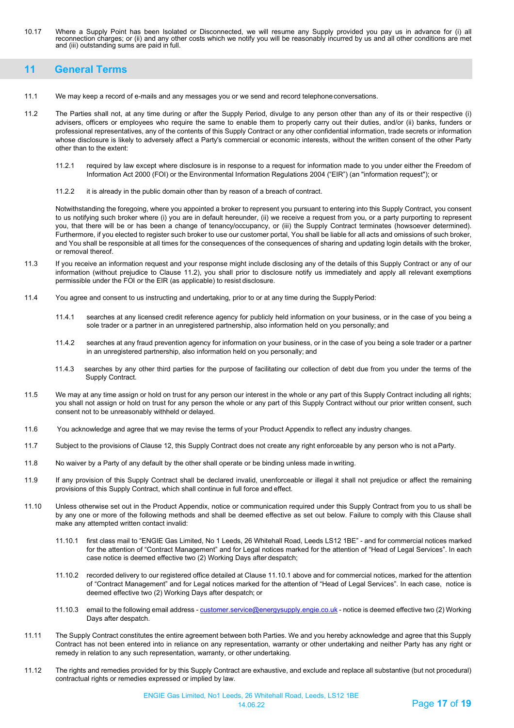10.17 Where a Supply Point has been Isolated or Disconnected, we will resume any Supply provided you pay us in advance for (i) all reconnection charges; or (ii) and any other costs which we notify you will be reasonably incurred by us and all other conditions are met and (iii) outstanding sums are paid in full.

## <span id="page-16-0"></span>**11 General Terms**

- 11.1 We may keep a record of e-mails and any messages you or we send and record telephoneconversations.
- 11.2 The Parties shall not, at any time during or after the Supply Period, divulge to any person other than any of its or their respective (i) advisers, officers or employees who require the same to enable them to properly carry out their duties, and/or (ii) banks, funders or professional representatives, any of the contents of this Supply Contract or any other confidential information, trade secrets or information whose disclosure is likely to adversely affect a Party's commercial or economic interests, without the written consent of the other Party other than to the extent:
	- 11.2.1 required by law except where disclosure is in response to a request for information made to you under either the Freedom of Information Act 2000 (FOI) or the Environmental Information Regulations 2004 ("EIR") (an "information request"); or
	- 11.2.2 it is already in the public domain other than by reason of a breach of contract.

Notwithstanding the foregoing, where you appointed a broker to represent you pursuant to entering into this Supply Contract, you consent to us notifying such broker where (i) you are in default hereunder, (ii) we receive a request from you, or a party purporting to represent you, that there will be or has been a change of tenancy/occupancy, or (iii) the Supply Contract terminates (howsoever determined). Furthermore, if you elected to register such broker to use our customer portal, You shall be liable for all acts and omissions of such broker, and You shall be responsible at all times for the consequences of the consequences of sharing and updating login details with the broker, or removal thereof.

- 11.3 If you receive an information request and your response might include disclosing any of the details of this Supply Contract or any of our information (without prejudice to Clause 11.2), you shall prior to disclosure notify us immediately and apply all relevant exemptions permissible under the FOI or the EIR (as applicable) to resist disclosure.
- 11.4 You agree and consent to us instructing and undertaking, prior to or at any time during the SupplyPeriod:
	- 11.4.1 searches at any licensed credit reference agency for publicly held information on your business, or in the case of you being a sole trader or a partner in an unregistered partnership, also information held on you personally; and
	- 11.4.2 searches at any fraud prevention agency for information on your business, or in the case of you being a sole trader or a partner in an unregistered partnership, also information held on you personally; and
	- 11.4.3 searches by any other third parties for the purpose of facilitating our collection of debt due from you under the terms of the Supply Contract.
- 11.5 We may at any time assign or hold on trust for any person our interest in the whole or any part of this Supply Contract including all rights; you shall not assign or hold on trust for any person the whole or any part of this Supply Contract without our prior written consent, such consent not to be unreasonably withheld or delayed.
- 11.6 You acknowledge and agree that we may revise the terms of your Product Appendix to reflect any industry changes.
- 11.7 Subject to the provisions of Clause 12, this Supply Contract does not create any right enforceable by any person who is not aParty.
- 11.8 No waiver by a Party of any default by the other shall operate or be binding unless made in writing.
- 11.9 If any provision of this Supply Contract shall be declared invalid, unenforceable or illegal it shall not prejudice or affect the remaining provisions of this Supply Contract, which shall continue in full force and effect.
- 11.10 Unless otherwise set out in the Product Appendix, notice or communication required under this Supply Contract from you to us shall be by any one or more of the following methods and shall be deemed effective as set out below. Failure to comply with this Clause shall make any attempted written contact invalid:
	- 11.10.1 first class mail to "ENGIE Gas Limited, No 1 Leeds, 26 Whitehall Road, Leeds LS12 1BE" and for commercial notices marked for the attention of "Contract Management" and for Legal notices marked for the attention of "Head of Legal Services". In each case notice is deemed effective two (2) Working Days after despatch;
	- 11.10.2 recorded delivery to our registered office detailed at Clause 11.10.1 above and for commercial notices, marked for the attention of "Contract Management" and for Legal notices marked for the attention of "Head of Legal Services". In each case, notice is deemed effective two (2) Working Days after despatch; or
	- 11.10.3 email to the following email address  [customer.service@energysupply.engie.co.uk](mailto:customer.service@energysupply.engie.co.uk) notice is deemed effective two (2) Working Days after despatch.
- 11.11 The Supply Contract constitutes the entire agreement between both Parties. We and you hereby acknowledge and agree that this Supply Contract has not been entered into in reliance on any representation, warranty or other undertaking and neither Party has any right or remedy in relation to any such representation, warranty, or other undertaking.
- 11.12 The rights and remedies provided for by this Supply Contract are exhaustive, and exclude and replace all substantive (but not procedural) contractual rights or remedies expressed or implied by law.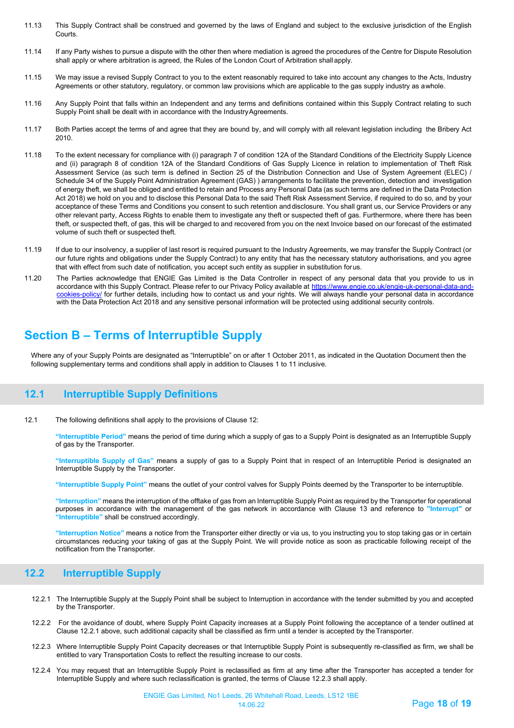- 11.13 This Supply Contract shall be construed and governed by the laws of England and subject to the exclusive jurisdiction of the English Courts.
- 11.14 If any Party wishes to pursue a dispute with the other then where mediation is agreed the procedures of the Centre for Dispute Resolution shall apply or where arbitration is agreed, the Rules of the London Court of Arbitration shall apply.
- 11.15 We may issue a revised Supply Contract to you to the extent reasonably required to take into account any changes to the Acts, Industry Agreements or other statutory, regulatory, or common law provisions which are applicable to the gas supply industry as awhole.
- 11.16 Any Supply Point that falls within an Independent and any terms and definitions contained within this Supply Contract relating to such Supply Point shall be dealt with in accordance with the IndustryAgreements.
- 11.17 Both Parties accept the terms of and agree that they are bound by, and will comply with all relevant legislation including the Bribery Act 2010.
- 11.18 To the extent necessary for compliance with (i) paragraph 7 of condition 12A of the Standard Conditions of the Electricity Supply Licence and (ii) paragraph 8 of condition 12A of the Standard Conditions of Gas Supply Licence in relation to implementation of Theft Risk Assessment Service (as such term is defined in Section 25 of the Distribution Connection and Use of System Agreement (ELEC) / Schedule 34 of the Supply Point Administration Agreement (GAS) ) arrangements to facilitate the prevention, detection and investigation of energy theft, we shall be obliged and entitled to retain and Process any Personal Data (as such terms are defined in the Data Protection Act 2018) we hold on you and to disclose this Personal Data to the said Theft Risk Assessment Service, if required to do so, and by your acceptance of these Terms and Conditions you consent to such retention and disclosure. You shall grant us, our Service Providers or any other relevant party, Access Rights to enable them to investigate any theft or suspected theft of gas. Furthermore, where there has been theft, or suspected theft, of gas, this will be charged to and recovered from you on the next Invoice based on our forecast of the estimated volume of such theft or suspected theft.
- 11.19 If due to our insolvency, a supplier of last resort is required pursuant to the Industry Agreements, we may transfer the Supply Contract (or our future rights and obligations under the Supply Contract) to any entity that has the necessary statutory authorisations, and you agree that with effect from such date of notification, you accept such entity as supplier in substitution forus.
- 11.20 The Parties acknowledge that ENGIE Gas Limited is the Data Controller in respect of any personal data that you provide to us in accordance with this Supply Contract. Please refer to our Privacy Policy available at [https://www.engie.co.uk/engie-uk-personal-data-and](https://www.engie.co.uk/engie-uk-personal-data-and-cookies-policy/)[cookies-policy/](https://www.engie.co.uk/engie-uk-personal-data-and-cookies-policy/) for further details, including how to contact us and your rights. We will always handle your personal data in accordance with the Data Protection Act 2018 and any sensitive personal information will be protected using additional security controls.

## **Section B – Terms of Interruptible Supply**

Where any of your Supply Points are designated as "Interruptible" on or after 1 October 2011, as indicated in the Quotation Document then the following supplementary terms and conditions shall apply in addition to Clauses 1 to 11 inclusive.

## <span id="page-17-0"></span>**12.1 Interruptible Supply Definitions**

12.1 The following definitions shall apply to the provisions of Clause 12:

**"Interruptible Period"** means the period of time during which a supply of gas to a Supply Point is designated as an Interruptible Supply of gas by the Transporter.

**"Interruptible Supply of Gas"** means a supply of gas to a Supply Point that in respect of an Interruptible Period is designated an Interruptible Supply by the Transporter.

**"Interruptible Supply Point"** means the outlet of your control valves for Supply Points deemed by the Transporter to be interruptible.

**"Interruption"** means the interruption of the offtake of gas from an Interruptible Supply Point as required by the Transporter for operational purposes in accordance with the management of the gas network in accordance with Clause 13 and reference to **"Interrupt"** or **"Interruptible"** shall be construed accordingly.

<span id="page-17-1"></span>**"Interruption Notice"** means a notice from the Transporter either directly or via us, to you instructing you to stop taking gas or in certain circumstances reducing your taking of gas at the Supply Point. We will provide notice as soon as practicable following receipt of the notification from the Transporter.

## **12.2 Interruptible Supply**

- 12.2.1 The Interruptible Supply at the Supply Point shall be subject to Interruption in accordance with the tender submitted by you and accepted by the Transporter.
- 12.2.2 For the avoidance of doubt, where Supply Point Capacity increases at a Supply Point following the acceptance of a tender outlined at Clause 12.2.1 above, such additional capacity shall be classified as firm until a tender is accepted by theTransporter.
- 12.2.3 Where Interruptible Supply Point Capacity decreases or that Interruptible Supply Point is subsequently re-classified as firm, we shall be entitled to vary Transportation Costs to reflect the resulting increase to our costs.
- 12.2.4 You may request that an Interruptible Supply Point is reclassified as firm at any time after the Transporter has accepted a tender for Interruptible Supply and where such reclassification is granted, the terms of Clause 12.2.3 shall apply.